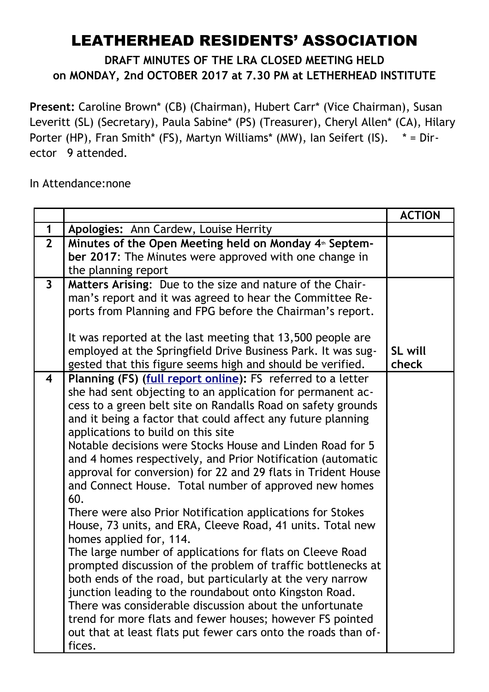## LEATHERHEAD RESIDENTS' ASSOCIATION

## **DRAFT MINUTES OF THE LRA CLOSED MEETING HELD on MONDAY, 2nd OCTOBER 2017 at 7.30 PM at LETHERHEAD INSTITUTE**

**Present:** Caroline Brown\* (CB) (Chairman), Hubert Carr\* (Vice Chairman), Susan Leveritt (SL) (Secretary), Paula Sabine\* (PS) (Treasurer), Cheryl Allen\* (CA), Hilary Porter (HP), Fran Smith\* (FS), Martyn Williams\* (MW), Ian Seifert (IS). \* = Director 9 attended.

In Attendance:none

|                         |                                                                                                                                                                                                                                                                                                                                                                                                                                                                                                                                                                                                                                                                                                                                                                                                                                                                                                                                                                                                                                                                                                                                                                             | <b>ACTION</b> |
|-------------------------|-----------------------------------------------------------------------------------------------------------------------------------------------------------------------------------------------------------------------------------------------------------------------------------------------------------------------------------------------------------------------------------------------------------------------------------------------------------------------------------------------------------------------------------------------------------------------------------------------------------------------------------------------------------------------------------------------------------------------------------------------------------------------------------------------------------------------------------------------------------------------------------------------------------------------------------------------------------------------------------------------------------------------------------------------------------------------------------------------------------------------------------------------------------------------------|---------------|
| $\mathbf 1$             | Apologies: Ann Cardew, Louise Herrity                                                                                                                                                                                                                                                                                                                                                                                                                                                                                                                                                                                                                                                                                                                                                                                                                                                                                                                                                                                                                                                                                                                                       |               |
| $\overline{2}$          | Minutes of the Open Meeting held on Monday 4 <sup>th</sup> Septem-<br>ber 2017: The Minutes were approved with one change in<br>the planning report                                                                                                                                                                                                                                                                                                                                                                                                                                                                                                                                                                                                                                                                                                                                                                                                                                                                                                                                                                                                                         |               |
| $\mathbf{3}$            | Matters Arising: Due to the size and nature of the Chair-<br>man's report and it was agreed to hear the Committee Re-<br>ports from Planning and FPG before the Chairman's report.<br>It was reported at the last meeting that 13,500 people are<br>employed at the Springfield Drive Business Park. It was sug-                                                                                                                                                                                                                                                                                                                                                                                                                                                                                                                                                                                                                                                                                                                                                                                                                                                            | SL will       |
|                         | gested that this figure seems high and should be verified.                                                                                                                                                                                                                                                                                                                                                                                                                                                                                                                                                                                                                                                                                                                                                                                                                                                                                                                                                                                                                                                                                                                  | check         |
| $\overline{\mathbf{4}}$ | Planning (FS) (full report online): FS referred to a letter<br>she had sent objecting to an application for permanent ac-<br>cess to a green belt site on Randalls Road on safety grounds<br>and it being a factor that could affect any future planning<br>applications to build on this site<br>Notable decisions were Stocks House and Linden Road for 5<br>and 4 homes respectively, and Prior Notification (automatic<br>approval for conversion) for 22 and 29 flats in Trident House<br>and Connect House. Total number of approved new homes<br>60.<br>There were also Prior Notification applications for Stokes<br>House, 73 units, and ERA, Cleeve Road, 41 units. Total new<br>homes applied for, 114.<br>The large number of applications for flats on Cleeve Road<br>prompted discussion of the problem of traffic bottlenecks at<br>both ends of the road, but particularly at the very narrow<br>junction leading to the roundabout onto Kingston Road.<br>There was considerable discussion about the unfortunate<br>trend for more flats and fewer houses; however FS pointed<br>out that at least flats put fewer cars onto the roads than of-<br>fices. |               |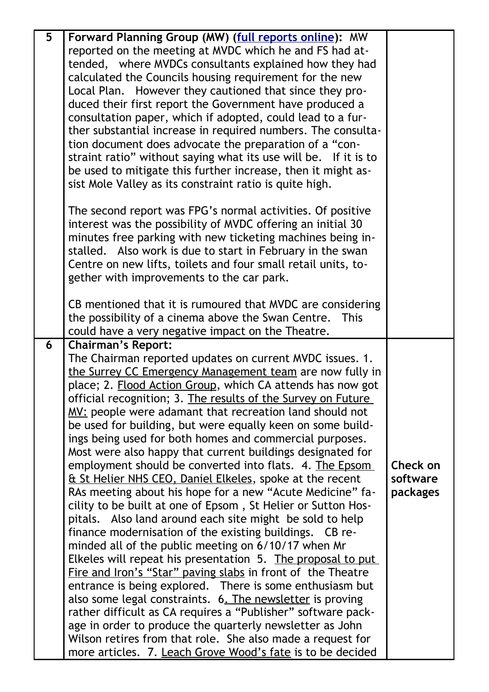| 5 | Forward Planning Group (MW) (full reports online): MW           |          |
|---|-----------------------------------------------------------------|----------|
|   | reported on the meeting at MVDC which he and FS had at-         |          |
|   | tended, where MVDCs consultants explained how they had          |          |
|   | calculated the Councils housing requirement for the new         |          |
|   | Local Plan. However they cautioned that since they pro-         |          |
|   |                                                                 |          |
|   | duced their first report the Government have produced a         |          |
|   | consultation paper, which if adopted, could lead to a fur-      |          |
|   | ther substantial increase in required numbers. The consulta-    |          |
|   | tion document does advocate the preparation of a "con-          |          |
|   | straint ratio" without saying what its use will be. If it is to |          |
|   | be used to mitigate this further increase, then it might as-    |          |
|   | sist Mole Valley as its constraint ratio is quite high.         |          |
|   | The second report was FPG's normal activities. Of positive      |          |
|   | interest was the possibility of MVDC offering an initial 30     |          |
|   | minutes free parking with new ticketing machines being in-      |          |
|   | stalled. Also work is due to start in February in the swan      |          |
|   | Centre on new lifts, toilets and four small retail units, to-   |          |
|   | gether with improvements to the car park.                       |          |
|   |                                                                 |          |
|   | CB mentioned that it is rumoured that MVDC are considering      |          |
|   | the possibility of a cinema above the Swan Centre. This         |          |
|   | could have a very negative impact on the Theatre.               |          |
| 6 | <b>Chairman's Report:</b>                                       |          |
|   | The Chairman reported updates on current MVDC issues. 1.        |          |
|   | the Surrey CC Emergency Management team are now fully in        |          |
|   | place; 2. Flood Action Group, which CA attends has now got      |          |
|   | official recognition; 3. The results of the Survey on Future    |          |
|   | MV: people were adamant that recreation land should not         |          |
|   | be used for building, but were equally keen on some build-      |          |
|   | ings being used for both homes and commercial purposes.         |          |
|   | Most were also happy that current buildings designated for      |          |
|   | employment should be converted into flats. 4. The Epsom         | Check on |
|   | Et St Helier NHS CEO, Daniel Elkeles, spoke at the recent       | software |
|   | RAs meeting about his hope for a new "Acute Medicine" fa-       | packages |
|   | cility to be built at one of Epsom, St Helier or Sutton Hos-    |          |
|   | pitals. Also land around each site might be sold to help        |          |
|   |                                                                 |          |
|   | finance modernisation of the existing buildings. CB re-         |          |
|   | minded all of the public meeting on 6/10/17 when Mr             |          |
|   | Elkeles will repeat his presentation 5. The proposal to put     |          |
|   | Fire and Iron's "Star" paving slabs in front of the Theatre     |          |
|   | entrance is being explored. There is some enthusiasm but        |          |
|   | also some legal constraints. 6. The newsletter is proving       |          |
|   | rather difficult as CA requires a "Publisher" software pack-    |          |
|   | age in order to produce the quarterly newsletter as John        |          |
|   | Wilson retires from that role. She also made a request for      |          |
|   | more articles. 7. Leach Grove Wood's fate is to be decided      |          |